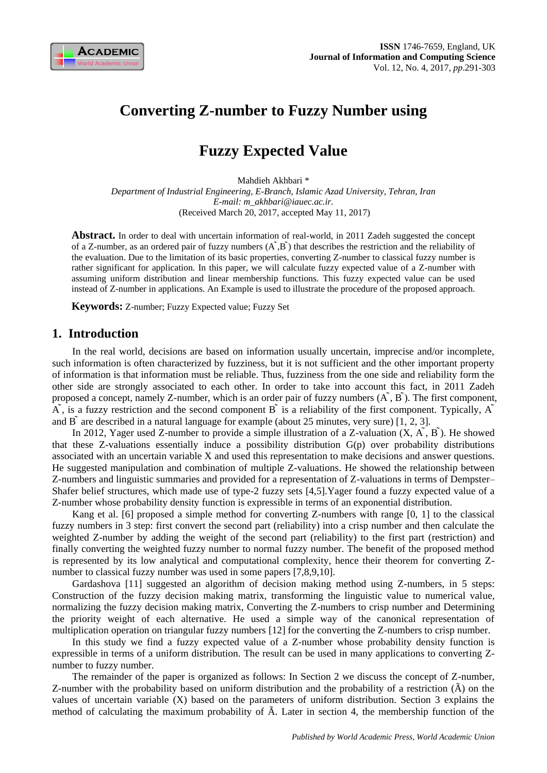

# **Converting Z-number to Fuzzy Number using**

# **Fuzzy Expected Value**

Mahdieh Akhbari \* *Department of Industrial Engineering, E-Branch, Islamic Azad University, Tehran, Iran E-mail: m\_akhbari@iauec.ac.ir.* (Received March 20, 2017, accepted May 11, 2017)

**Abstract.** In order to deal with uncertain information of real-world, in 2011 Zadeh suggested the concept of a Z-number, as an ordered pair of fuzzy numbers  $(A, B)$  that describes the restriction and the reliability of the evaluation. Due to the limitation of its basic properties, converting Z-number to classical fuzzy number is rather significant for application. In this paper, we will calculate fuzzy expected value of a Z-number with assuming uniform distribution and linear membership functions. This fuzzy expected value can be used instead of Z-number in applications. An Example is used to illustrate the procedure of the proposed approach.

**Keywords:** Z-number; Fuzzy Expected value; Fuzzy Set

## **1. Introduction**

In the real world, decisions are based on information usually uncertain, imprecise and/or incomplete, such information is often characterized by fuzziness, but it is not sufficient and the other important property of information is that information must be reliable. Thus, fuzziness from the one side and reliability form the other side are strongly associated to each other. In order to take into account this fact, in 2011 Zadeh proposed a concept, namely Z-number, which is an order pair of fuzzy numbers  $(\tilde{A}, \tilde{B})$ . The first component,  $\overrightarrow{A}$ , is a fuzzy restriction and the second component  $\overrightarrow{B}$  is a reliability of the first component. Typically,  $\overrightarrow{A}$ and  $\overline{B}$  are described in a natural language for example (about 25 minutes, very sure) [1, 2, 3].

In 2012, Yager used Z-number to provide a simple illustration of a Z-valuation  $(X, \tilde{A}, B)$ . He showed that these Z-valuations essentially induce a possibility distribution G(p) over probability distributions associated with an uncertain variable X and used this representation to make decisions and answer questions. He suggested manipulation and combination of multiple Z-valuations. He showed the relationship between Z-numbers and linguistic summaries and provided for a representation of Z-valuations in terms of Dempster– Shafer belief structures, which made use of type-2 fuzzy sets [4,5].Yager found a fuzzy expected value of a Z-number whose probability density function is expressible in terms of an exponential distribution.

Kang et al. [6] proposed a simple method for converting Z-numbers with range [0, 1] to the classical fuzzy numbers in 3 step: first convert the second part (reliability) into a crisp number and then calculate the weighted Z-number by adding the weight of the second part (reliability) to the first part (restriction) and finally converting the weighted fuzzy number to normal fuzzy number. The benefit of the proposed method is represented by its low analytical and computational complexity, hence their theorem for converting Znumber to classical fuzzy number was used in some papers [7,8,9,10].

Gardashova [11] suggested an algorithm of decision making method using Z-numbers, in 5 steps: Construction of the fuzzy decision making matrix, transforming the linguistic value to numerical value, normalizing the fuzzy decision making matrix, Converting the Z-numbers to crisp number and Determining the priority weight of each alternative. He used a simple way of the canonical representation of multiplication operation on triangular fuzzy numbers [12] for the converting the Z-numbers to crisp number.

In this study we find a fuzzy expected value of a Z-number whose probability density function is expressible in terms of a uniform distribution. The result can be used in many applications to converting Znumber to fuzzy number.

The remainder of the paper is organized as follows: In Section 2 we discuss the concept of Z-number, Z-number with the probability based on uniform distribution and the probability of a restriction (Ã) on the values of uncertain variable (X) based on the parameters of uniform distribution. Section 3 explains the method of calculating the maximum probability of Ã. Later in section 4, the membership function of the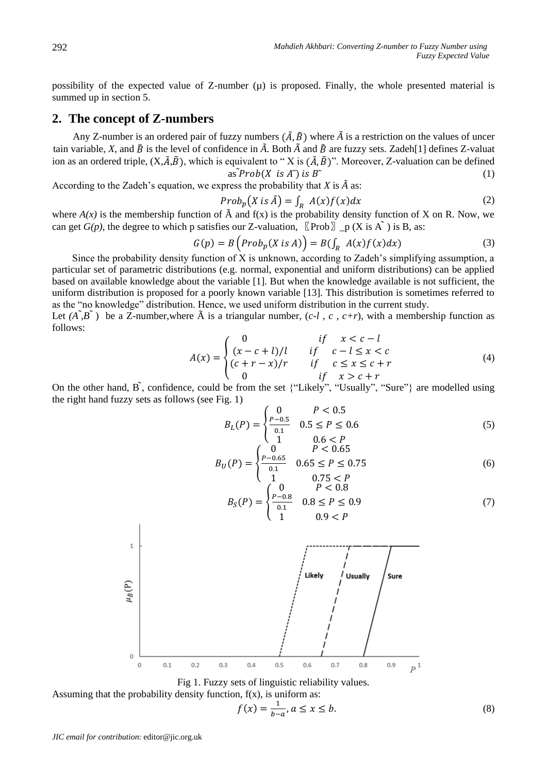possibility of the expected value of  $Z$ -number  $(\mu)$  is proposed. Finally, the whole presented material is summed up in section 5.

## **2. The concept of Z-numbers**

Any Z-number is an ordered pair of fuzzy numbers  $(\tilde{A}, \tilde{B})$  where  $\tilde{A}$  is a restriction on the values of uncer tain variable, *X*, and  $\tilde{B}$  is the level of confidence in  $\tilde{A}$ . Both  $\tilde{A}$  and  $\tilde{B}$  are fuzzy sets. Zadeh[1] defines Z-valuat ion as an ordered triple,  $(X,\tilde{A},\tilde{B})$ , which is equivalent to "X is  $(\tilde{A},\tilde{B})$ ". Moreover, Z-valuation can be defined  $as \sim \text{Prob}(X \text{ is } A^{\sim}) \text{ is } B^{\sim}$  (1)

According to the Zadeh's equation, we express the probability that  $X$  is  $\tilde{A}$  as:

$$
Prob_p(X \text{ is } \tilde{A}) = \int_R A(x)f(x)dx \tag{2}
$$

where  $A(x)$  is the membership function of  $\tilde{A}$  and  $f(x)$  is the probability density function of X on R. Now, we can get *G(p)*, the degree to which p satisfies our Z-valuation,  $[\n Prob] \_p(X \in A^*)$  is B, as:

$$
G(p) = B\left( Prob_p(X \text{ is } A) \right) = B(\int_R A(x)f(x)dx) \tag{3}
$$

Since the probability density function of X is unknown, according to Zadeh's simplifying assumption, a particular set of parametric distributions (e.g. normal, exponential and uniform distributions) can be applied based on available knowledge about the variable [1]. But when the knowledge available is not sufficient, the uniform distribution is proposed for a poorly known variable [13]. This distribution is sometimes referred to as the "no knowledge" distribution. Hence, we used uniform distribution in the current study.

Let  $(A^T, B^T)$  be a Z-number, where  $\tilde{A}$  is a triangular number,  $(c-l, c, c+r)$ , with a membership function as follows:

$$
A(x) = \begin{cases} 0 & \text{if } x < c - l \\ (x - c + l)/l & \text{if } c - l \le x < c \\ (c + r - x)/r & \text{if } c \le x \le c + r \\ 0 & \text{if } x > c + r \end{cases}
$$
(4)

On the other hand,  $\tilde{B}$ , confidence, could be from the set {"Likely", "Usually", "Sure"} are modelled using the right hand fuzzy sets as follows (see Fig. 1)

$$
B_L(P) = \begin{cases} 0 & P < 0.5\\ \frac{P - 0.5}{0.1} & 0.5 \le P \le 0.6\\ 1 & 0.6 < P \end{cases} \tag{5}
$$

$$
B_U(P) = \begin{cases} 0 & P < 0.65\\ \frac{P - 0.65}{0.1} & 0.65 \le P \le 0.75\\ 1 & 0.75 < P \end{cases} \tag{6}
$$

$$
B_S(P) = \begin{cases} 0 & P < 0.8 \\ \frac{P - 0.8}{0.1} & 0.8 \le P \le 0.9 \\ 1 & 0.9 < P \end{cases} \tag{7}
$$



Fig 1. Fuzzy sets of linguistic reliability values.

Assuming that the probability density function,  $f(x)$ , is uniform as:

$$
f(x) = \frac{1}{b-a}, a \le x \le b.
$$
\n<sup>(8)</sup>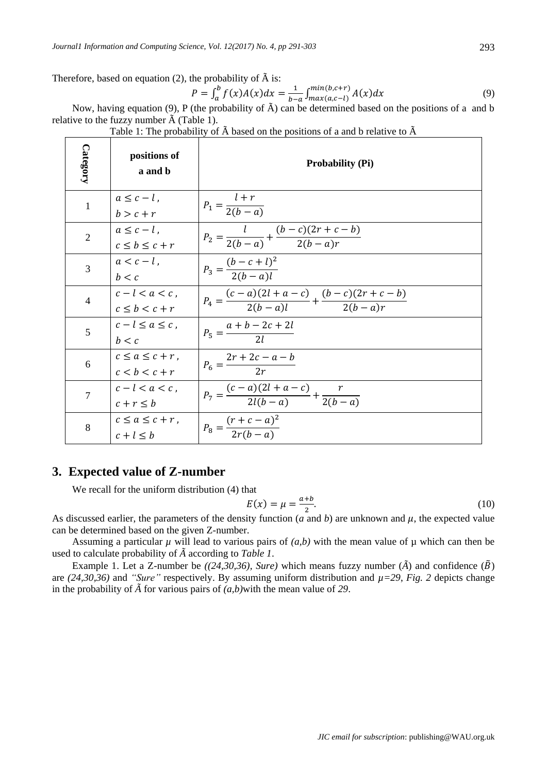Therefore, based on equation (2), the probability of  $\tilde{A}$  is:

$$
P = \int_{a}^{b} f(x)A(x)dx = \frac{1}{b-a} \int_{max(a,c-l)}^{min(b,c+r)} A(x)dx
$$
\n(9)

Now, having equation (9), P (the probability of Ã) can be determined based on the positions of a and b relative to the fuzzy number  $\tilde{A}$  (Table 1).

| Category       | positions of<br>a and b                    | <b>Probability (Pi)</b>                                               |
|----------------|--------------------------------------------|-----------------------------------------------------------------------|
| $\mathbf{1}$   | $a \leq c - l$ ,<br>$b > c + r$            | $P_1 = \frac{l+r}{2(b-a)}$                                            |
| $\overline{2}$ | $a \leq c - l$ .<br>$c \leq b \leq c + r$  | $P_2 = \frac{l}{2(b-a)} + \frac{(b-c)(2r+c-b)}{2(b-a)r}$              |
| $\overline{3}$ | $a < c - l$ .<br>b < c                     | $P_3 = \frac{(b-c+l)^2}{2(b-a)l}$                                     |
| $\overline{4}$ | $c-l < a < c$ .<br>$c \leq b < c + r$      | $P_4 = \frac{(c-a)(2l+a-c)}{2(b-a)l} + \frac{(b-c)(2r+c-b)}{2(b-a)r}$ |
| 5              | $c-l \leq a \leq c$ ,<br>h < c             | $P_5 = \frac{a+b-2c+2l}{2l}$                                          |
| 6              | $c \leq a \leq c + r$ ,<br>$c < b < c + r$ | $P_6 = \frac{2r + 2c - a - b}{2r}$                                    |
| $\overline{7}$ | $c-l < a < c$ .<br>$c + r \leq b$          | $P_7 = \frac{(c-a)(2l+a-c)}{2l(b-a)} + \frac{r}{2(b-a)}$              |
| 8              | $c < a < c + r$ .<br>$c+l \leq b$          | $P_8 = \frac{(r+c-a)^2}{2r(b-a)}$                                     |

Table 1: The probability of  $\tilde{A}$  based on the positions of a and b relative to  $\tilde{A}$ 

# **3. Expected value of Z-number**

We recall for the uniform distribution (4) that

$$
E(x) = \mu = \frac{a+b}{2}.\tag{10}
$$

As discussed earlier, the parameters of the density function (*a* and *b*) are unknown and  $\mu$ , the expected value can be determined based on the given Z-number.

Assuming a particular  $\mu$  will lead to various pairs of  $(a,b)$  with the mean value of  $\mu$  which can then be used to calculate probability of *Ã*according to *Table 1*.

Example 1. Let a Z-number be  $((24,30,36), Sure)$  which means fuzzy number  $(\tilde{A})$  and confidence  $(\tilde{B})$ are  $(24,30,36)$  and *"Sure"* respectively. By assuming uniform distribution and  $\mu=29$ , *Fig.* 2 depicts change in the probability of  $\tilde{A}$  for various pairs of  $(a,b)$  with the mean value of 29.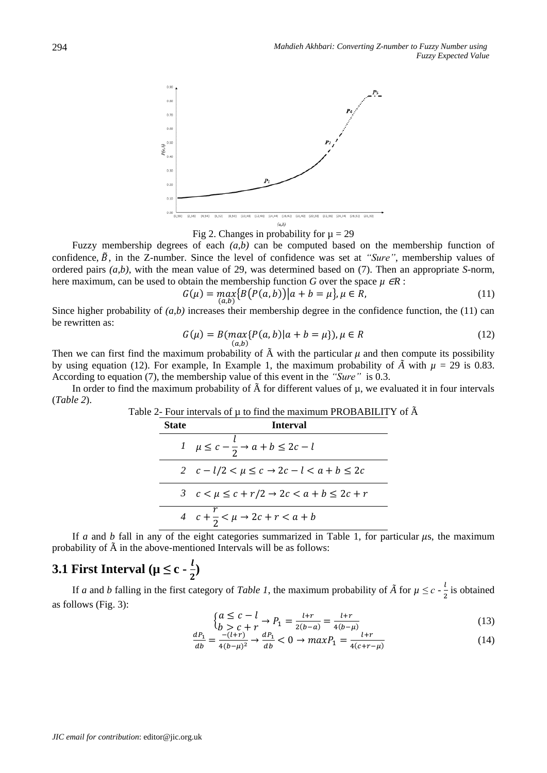

Fig 2. Changes in probability for  $\mu = 29$ 

Fuzzy membership degrees of each *(a,b)* can be computed based on the membership function of confidence,  $\tilde{B}$ , in the Z-number. Since the level of confidence was set at *"Sure"*, membership values of ordered pairs *(a,b)*, with the mean value of 29, was determined based on (7). Then an appropriate *S*-norm, here maximum, can be used to obtain the membership function *G* over the space  $\mu$  ∈*R* :

$$
G(\mu) = \max_{(a,b)} \{ B(P(a,b)) | a+b=\mu \}, \mu \in R,
$$
\n(11)

Since higher probability of *(a,b)* increases their membership degree in the confidence function, the (11) can be rewritten as:

$$
G(\mu) = B(max\{P(a,b)|a+b=\mu\}), \mu \in R
$$
\n(12)

Then we can first find the maximum probability of  $\tilde{A}$  with the particular  $\mu$  and then compute its possibility by using equation (12). For example, In Example 1, the maximum probability of  $\tilde{A}$  with  $\mu = 29$  is 0.83. According to equation (7), the membership value of this event in the *"Sure"* is 0.3.

In order to find the maximum probability of  $\tilde{A}$  for different values of  $\mu$ , we evaluated it in four intervals (*Table 2*).

| <b>State</b> | <b>Interval</b>                                             |
|--------------|-------------------------------------------------------------|
|              | $l \mu \leq c - \frac{l}{2} \rightarrow a + b \leq 2c - l$  |
|              | 2 $c - l/2 < \mu \leq c \rightarrow 2c - l < a + b \leq 2c$ |
|              | 3 $c < \mu \leq c + r/2 \rightarrow 2c < a + b \leq 2c + r$ |
|              | 4 $c + \frac{r}{2} < \mu \rightarrow 2c + r < a + b$        |

If *a* and *b* fall in any of the eight categories summarized in Table 1, for particular  $\mu$ s, the maximum probability of  $\tilde{A}$  in the above-mentioned Intervals will be as follows:

### **3.1 First Interval** ( $\mu \leq c - \frac{l}{c}$  $\frac{1}{2}$

If *a* and *b* falling in the first category of *Table 1*, the maximum probability of  $\tilde{A}$  for  $\mu \leq c - \frac{1}{c}$  $\frac{1}{2}$  is obtained as follows (Fig. 3):

$$
\begin{cases} a \le c - l \\ b > c + r \end{cases} \to P_1 = \frac{l + r}{2(b - a)} = \frac{l + r}{4(b - \mu)}\tag{13}
$$

$$
\frac{dP_1}{db} = \frac{-(l+r)}{4(b-\mu)^2} \to \frac{dP_1}{db} < 0 \to \max P_1 = \frac{l+r}{4(c+r-\mu)}\tag{14}
$$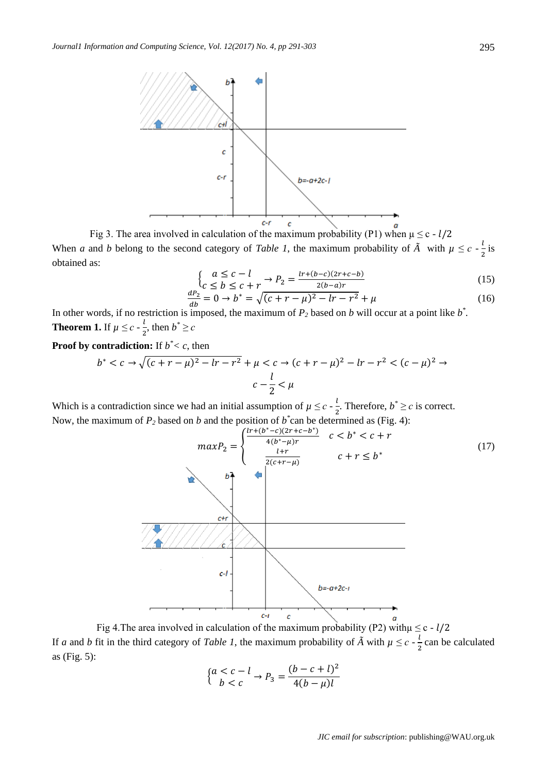

Fig 3. The area involved in calculation of the maximum probability (P1) when  $\mu \leq c - l/2$ When *a* and *b* belong to the second category of *Table 1*, the maximum probability of  $\tilde{A}$  with  $\mu \leq c - \frac{l}{c}$  $\frac{1}{2}$  is obtained as:

$$
\begin{cases}\n a \leq c - l \\
 c \leq b \leq c + r\n\end{cases} \to P_2 = \frac{\ln\left(\frac{b - c}{2r + c - b}\right)}{2(b - a)r}
$$
\n(15)

$$
\frac{dP_2}{db} = 0 \to b^* = \sqrt{(c + r - \mu)^2 - lr - r^2} + \mu
$$
\n(16)

In other words, if no restriction is imposed, the maximum of  $P_2$  based on *b* will occur at a point like  $b^*$ . **Theorem 1.** If  $\mu \leq c - \frac{l}{a}$  $\frac{l}{2}$ , then  $b^* \geq c$ 

**Proof by contradiction:** If *b \*< c*, then

$$
b^* < c \to \sqrt{(c+r-\mu)^2 - lr - r^2} + \mu < c \to (c+r-\mu)^2 - lr - r^2 < (c-\mu)^2 \to c - \frac{l}{2} < \mu
$$

<span id="page-4-0"></span>Which is a contradiction since we had an initial assumption of  $\mu \leq c - \frac{l}{a}$  $\frac{l}{2}$ . Therefore,  $b^* \ge c$  is correct. Now, the maximum of  $P_2$  based on *b* and the position of  $b^*$ can be determined as (Fig. 4):



Fig 4. The area involved in calculation of the maximum probability (P2) with $\mu \le c - l/2$ If *a* and *b* fit in the third category of *Table 1*, the maximum probability of  $\tilde{A}$  with  $\mu \leq c - \frac{l}{a}$  $\frac{1}{2}$  can be calculated as (Fig. 5):

$$
\begin{cases} a < c - l \\ b < c \end{cases} \rightarrow P_3 = \frac{(b - c + l)^2}{4(b - \mu)l}
$$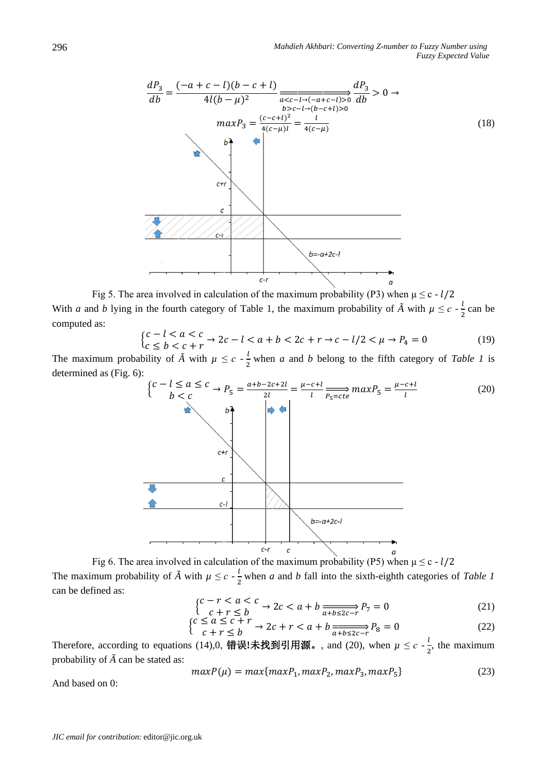

Fig 5. The area involved in calculation of the maximum probability (P3) when  $\mu \leq c - l/2$ With *a* and *b* lying in the fourth category of Table 1, the maximum probability of  $\tilde{A}$  with  $\mu \leq c - \frac{1}{2}$  $\frac{1}{2}$  can be computed as:

$$
\begin{cases} c - l < a < c \\ c < b < c + r \end{cases} \to 2c - l < a + b < 2c + r \to c - l/2 < \mu \to P_4 = 0 \tag{19}
$$

The maximum probability of  $\tilde{A}$  with  $\mu \leq c \cdot \frac{l}{a}$  $\frac{1}{2}$  when *a* and *b* belong to the fifth category of *Table 1* is determined as (Fig. 6):



Fig 6. The area involved in calculation of the maximum probability (P5) when  $\mu \le c - l/2$ The maximum probability of  $\tilde{A}$  with  $\mu \leq c - \frac{l}{a}$  $\frac{1}{2}$  when *a* and *b* fall into the sixth-eighth categories of *Table 1* can be defined as:

$$
\begin{cases} c - r < a < c \\ c + r < b \end{cases} \to 2c < a + b \xrightarrow[a + b \le 2c - r]{} P_7 = 0 \tag{21}
$$

$$
\begin{cases} c \le a \le c + r \\ c + r \le b \end{cases} \to 2c + r < a + b \xrightarrow[a + b \le 2c - r]{} P_8 = 0 \tag{22}
$$

Therefore, according to equations (14)[,0,](#page-4-0) **错误!未找到引用源。**, and (20), when  $\mu \leq c - \frac{l}{2}$  $\frac{1}{2}$ , the maximum probability of  $\tilde{A}$  can be stated as:

$$
maxP(\mu) = max\{maxP_1, maxP_2, maxP_3, maxP_5\}
$$
\n(23)

And based on [0:](#page-4-0)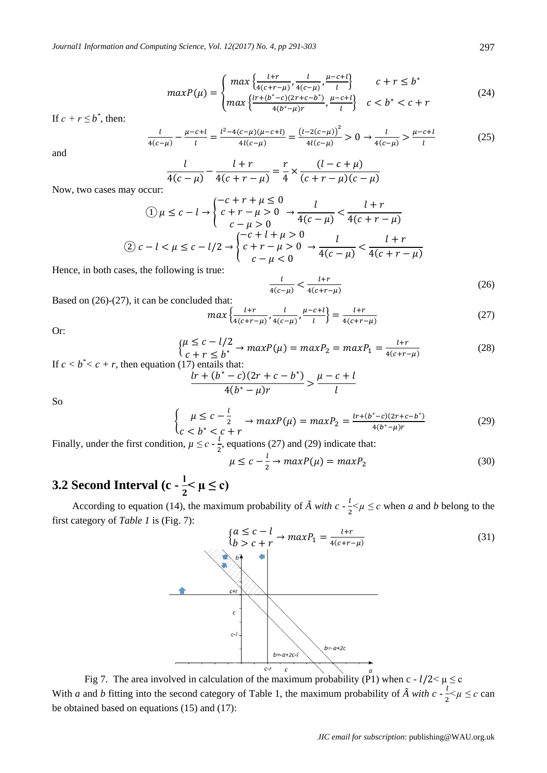$$
maxP(\mu) = \begin{cases} max \left\{ \frac{l+r}{4(c+r-\mu)}, \frac{l}{4(c-\mu)}, \frac{\mu-c+l}{l} \right\} & c+r \leq b^* \\ max \left\{ \frac{l'r+(b^*-c)(2r+c-b^*)}{4(b^*- \mu)r}, \frac{\mu-c+l}{l} \right\} & c < b^* < c+r \end{cases}
$$
(24)

If  $c + r \leq b^*$ , then:

$$
\frac{l}{4(c-\mu)} - \frac{\mu-c+l}{l} = \frac{l^2 - 4(c-\mu)(\mu-c+l)}{4l(c-\mu)} = \frac{(l - 2(c-\mu))^2}{4l(c-\mu)} > 0 \to \frac{l}{4(c-\mu)} > \frac{\mu-c+l}{l} \tag{25}
$$

and

$$
\frac{l}{4(c-\mu)} - \frac{l+r}{4(c+r-\mu)} = \frac{r}{4} \times \frac{(l-c+\mu)}{(c+r-\mu)(c-\mu)}
$$

Now, two cases may occur:

$$
\begin{aligned} \text{(1)} \ \mu &\leq c - l \to \begin{cases} -c + r + \mu \leq 0 & l & t + r \\ c + r - \mu > 0 & \frac{1}{4(c - \mu)} < \frac{l + r}{4(c + r - \mu)} \end{cases} \\ \text{(2)} \ c - l < \mu \leq c - l/2 \to \begin{cases} -c + l + \mu > 0 & l & l + r \\ c + r - \mu > 0 & \frac{l}{4(c - \mu)} < \frac{l + r}{4(c + r - \mu)} \end{cases} \end{aligned}
$$

Hence, in both cases, the following is true:

$$
\frac{l}{4(c-\mu)} < \frac{l+r}{4(c+r-\mu)}\tag{26}
$$

Based on (26)-(27), it can be concluded that:

$$
\max\left\{\frac{l+r}{4(c+r-\mu)}, \frac{l}{4(c-\mu)}, \frac{\mu-c+l}{l}\right\} = \frac{l+r}{4(c+r-\mu)}
$$
(27)

Or:

$$
\begin{cases} \mu \le c - l/2 \\ c + r \le b^* \end{cases} \to \max P(\mu) = \max P_2 = \max P_1 = \frac{l + r}{4(c + r - \mu)} \tag{28}
$$

If  $c < b^* < c + r$ , then equation (17) entails that:  $lr + (b^* - c)(2r + c - b^*)$  $\frac{4(b^* - \mu)r}{4(b^* - \mu)r}$  $\mu - c + l$  $\iota$ 

So

$$
\begin{cases} \mu \leq c - \frac{l}{2} \\ c < b^* < c + r \end{cases} \to \max P(\mu) = \max P_2 = \frac{\ln \left( b^* - c \right) \left( 2r + c - b^* \right)}{4(b^* - \mu)r} \tag{29}
$$

Finally, under the first condition,  $\mu \leq c - \frac{l}{a}$  $\frac{1}{2}$ , equations (27) and (29) indicate that:

$$
\mu \le c - \frac{l}{2} \to maxP(\mu) = maxP_2 \tag{30}
$$

### **3.2 Second Interval (c -**  $\frac{1}{2} < \mu \leq c$ )

According to equation (14), the maximum probability of  $\tilde{A}$  with  $c = \frac{l}{c}$  $\frac{1}{2} < \mu \leq c$  when *a* and *b* belong to the first category of *Table 1* is (Fig. 7):



Fig 7. The area involved in calculation of the maximum probability (P1) when c -  $l/2 < \mu \le c$ With *a* and *b* fitting into the second category of Table 1, the maximum probability of  $\tilde{A}$  with  $c \frac{1}{\tilde{a}}$  $\frac{1}{2} < \mu \leq c$  can be obtained based on equations (15) and (17):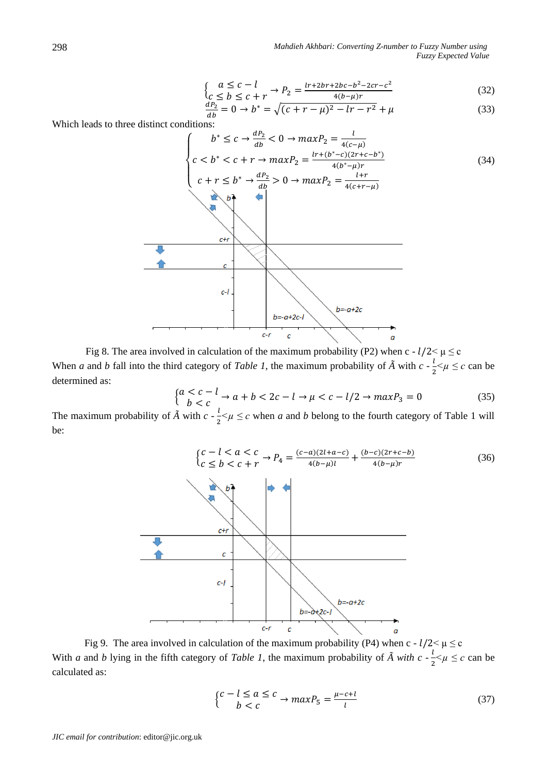$$
a \leq c - l
$$
  
\n
$$
c \leq b \leq c + r
$$
\n
$$
P_2 = \frac{l r + 2br + 2bc - b^2 - 2cr - c^2}{4(b - u)r}
$$
\n(32)

$$
\begin{aligned} \n\mathcal{L}_C &\leq b \leq c + r \quad \mathcal{L}_2 - \mathcal{L}_1\\ \n\frac{dP_2}{db} &= 0 \to b^* = \sqrt{(c + r - \mu)^2 - lr - r^2} + \mu \n\end{aligned} \tag{33}
$$

Which leads to three distinct conditions:

{

$$
\begin{cases}\nb^* \le c \rightarrow \frac{dP_2}{db} < 0 \rightarrow maxP_2 = \frac{l}{4(c-\mu)} \\
c < b^* < c + r \rightarrow maxP_2 = \frac{lr + (b^* - c)(2r + c - b^*)}{4(b^* - \mu)r} \\
c + r \le b^* \rightarrow \frac{dP_2}{db} > 0 \rightarrow maxP_2 = \frac{l + r}{4(c + r - \mu)}\n\end{cases}
$$
\n
$$
(34)
$$

Fig 8. The area involved in calculation of the maximum probability (P2) when c -  $l/2 < \mu \le c$ When *a* and *b* fall into the third category of *Table 1*, the maximum probability of  $\tilde{A}$  with  $c \frac{l}{\tau}$  $\frac{1}{2} < \mu \leq c$  can be determined as:

$$
\begin{cases} a < c - l \\ b < c \end{cases} \rightarrow a + b < 2c - l \rightarrow \mu < c - l/2 \rightarrow \max P_3 = 0 \tag{35}
$$

The maximum probability of  $\tilde{A}$  with  $c = \frac{l}{a}$  $\frac{1}{2} < \mu \leq c$  when *a* and *b* belong to the fourth category of Table 1 will be:



Fig 9. The area involved in calculation of the maximum probability (P4) when c -  $l/2 < \mu \le c$ With *a* and *b* lying in the fifth category of *Table 1*, the maximum probability of  $\tilde{A}$  with  $c \cdot \frac{1}{a}$  $\frac{1}{2} < \mu \leq c$  can be calculated as:

$$
\begin{cases} c - l \le a \le c \\ b < c \end{cases} \to \max P_5 = \frac{\mu - c + l}{l} \tag{37}
$$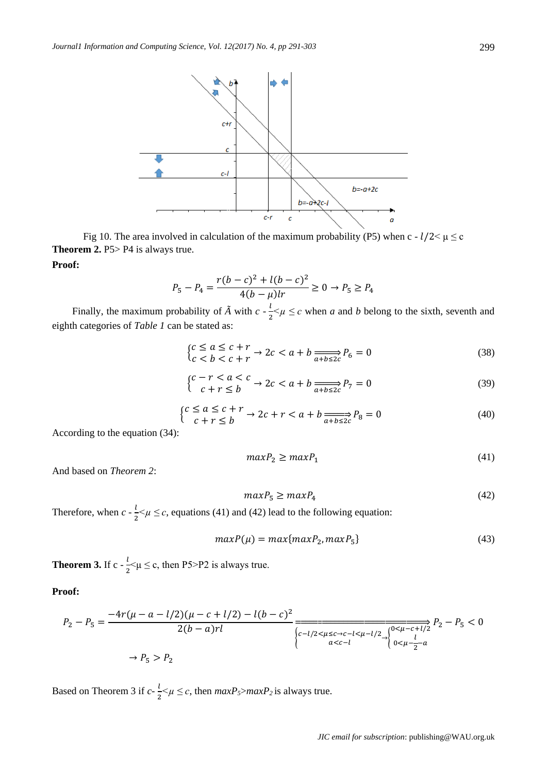

Fig 10. The area involved in calculation of the maximum probability (P5) when c -  $l/2 < \mu \le c$ **Theorem 2.** P5> P4 is always true.

#### **Proof:**

$$
P_5 - P_4 = \frac{r(b-c)^2 + l(b-c)^2}{4(b-\mu)lr} \ge 0 \to P_5 \ge P_4
$$

Finally, the maximum probability of  $\tilde{A}$  with  $c - \frac{l}{a}$  $\frac{1}{2} < \mu \leq c$  when *a* and *b* belong to the sixth, seventh and eighth categories of *Table 1* can be stated as:

$$
\begin{cases} c \le a \le c + r \\ c < b < c + r \end{cases} \to 2c < a + b \xrightarrow[a + b \le 2c]{} P_6 = 0 \tag{38}
$$

$$
\begin{cases} c - r < a < c \\ c + r < b \end{cases} \to 2c < a + b \xrightarrow[a + b \leq 2c]{} P_7 = 0 \tag{39}
$$

$$
\begin{cases} c \le a \le c + r \\ c + r \le b \end{cases} \to 2c + r < a + b \underset{a+b \le 2c}{\longrightarrow} P_8 = 0 \tag{40}
$$

According to the equation (34):

$$
maxP_2 \geq maxP_1 \tag{41}
$$

And based on *Theorem 2*:

$$
maxP_5 \ge maxP_4 \tag{42}
$$

Therefore, when  $c - \frac{l}{a}$  $\frac{1}{2} < \mu \leq c$ , equations (41) and (42) lead to the following equation:

$$
maxP(\mu) = max\{maxP_2, maxP_5\}
$$
\n(43)

**Theorem 3.** If c -  $\frac{l}{a}$  $\frac{1}{2}$   $\lt \mu \leq c$ , then P5>P2 is always true.

#### **Proof:**

$$
P_2 - P_5 = \frac{-4r(\mu - a - l/2)(\mu - c + l/2) - l(b - c)^2}{2(b - a)rl} \frac{1}{\sqrt{\frac{c - l/2 < \mu < c - l < \mu - l/2}{ac - l}} \sqrt{\frac{0 < \mu - c + l/2}{0 < \mu - \frac{l}{2}}}
$$
\n
$$
P_2 - P_5 < 0
$$
\n
$$
P_5 > P_2
$$

Based on Theorem 3 if  $c - \frac{l}{s}$  $\frac{1}{2} < \mu \leq c$ , then  $maxP_5 > maxP_2$  is always true.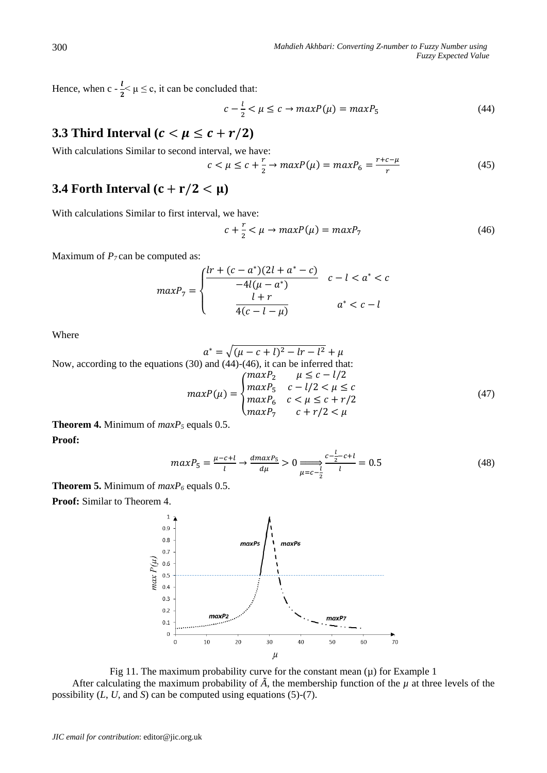Hence, when c -  $\frac{l}{2}$  $\frac{1}{2}$   $\lt \mu \leq c$ , it can be concluded that:

$$
c - \frac{l}{2} < \mu \leq c \to \max P(\mu) = \max P_5 \tag{44}
$$

# **3.3 Third Interval** ( $c < \mu \leq c + r/2$ )

With calculations Similar to second interval, we have:

$$
c < \mu \leq c + \frac{r}{2} \to \max P(\mu) = \max P_6 = \frac{r + c - \mu}{r} \tag{45}
$$

# **3.4 Forth Interval**  $(c + r/2 < \mu)$

With calculations Similar to first interval, we have:

$$
c + \frac{r}{2} < \mu \to \max P(\mu) = \max P_7 \tag{46}
$$

Maximum of *P*<sub>7</sub> can be computed as:

$$
maxP_7 = \begin{cases} \frac{lr + (c - a^*)(2l + a^* - c)}{-4l(\mu - a^*)} & c - l < a^* < c \\ \frac{l + r}{4(c - l - \mu)} & a^* < c - l \end{cases}
$$

Where

$$
a^* = \sqrt{(\mu - c + l)^2 - lr - l^2} + \mu
$$

Now, according to the equations (30) and (44)-(46), it can be inferred that:

$$
maxP(\mu) = \begin{cases} maxP_2 & \mu \leq c - l/2 \\ maxP_5 & c - l/2 < \mu \leq c \\ maxP_6 & c < \mu \leq c + r/2 \\ maxP_7 & c + r/2 < \mu \end{cases}
$$
(47)

**Theorem 4.** Minimum of *maxP<sup>5</sup>* equals 0.5.

**Proof:**

$$
maxP_5 = \frac{\mu - c + l}{l} \to \frac{dmaxP_5}{d\mu} > 0 \Longrightarrow \frac{c - \frac{l}{2} - c + l}{l} = 0.5 \tag{48}
$$

**Theorem 5.** Minimum of *maxP<sup>6</sup>* equals 0.5.

**Proof:** Similar to Theorem 4.



Fig 11. The maximum probability curve for the constant mean  $(\mu)$  for Example 1 After calculating the maximum probability of  $\tilde{A}$ , the membership function of the  $\mu$  at three levels of the possibility (*L*, *U*, and *S*) can be computed using equations (5)-(7).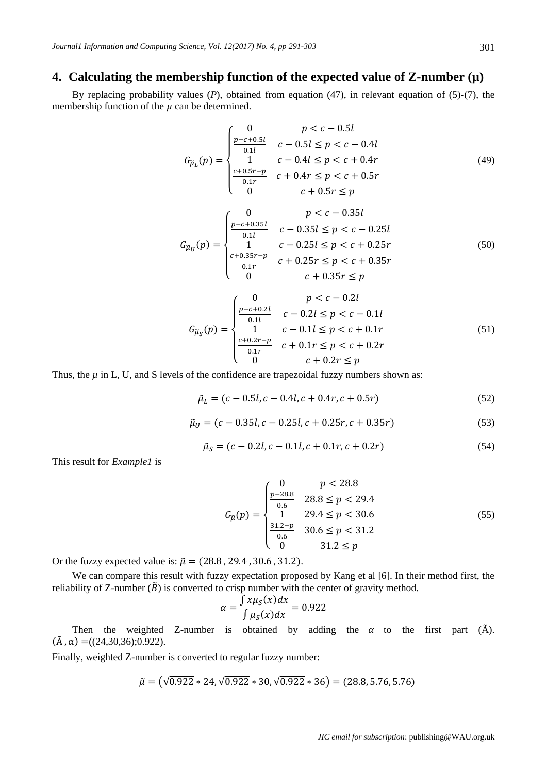# **4. Calculating the membership function of the expected value of Z-number (µ)**

By replacing probability values (*P*), obtained from equation (47), in relevant equation of (5)-(7), the membership function of the  $\mu$  can be determined.

$$
G_{\tilde{\mu}_L}(p) = \begin{cases} 0 & p < c - 0.5l \\ \frac{p - c + 0.5l}{0.1l} & c - 0.5l \le p < c - 0.4l \\ 1 & c - 0.4l \le p < c + 0.4r \\ \frac{c + 0.5r - p}{0.1r} & c + 0.4r \le p < c + 0.5r \\ 0 & c + 0.5r \le p \end{cases} \tag{49}
$$
\n
$$
G_{\tilde{\mu}_U}(p) = \begin{cases} 0 & p < c - 0.35l \\ \frac{p - c + 0.35l}{0.1l} & c - 0.35l \le p < c - 0.25l \\ 1 & c - 0.25l \le p < c + 0.25r \\ \frac{c + 0.35r - p}{0.1r} & c + 0.25r \le p < c + 0.35r \\ 0 & c + 0.35r \le p \end{cases} \tag{50}
$$

$$
G_{\tilde{\mu}_S}(p) = \begin{cases} 0 & p < c - 0.2l \\ \frac{p - c + 0.2l}{0.1l} & c - 0.2l \le p < c - 0.1l \\ 1 & c - 0.1l \le p < c + 0.1r \\ \frac{c + 0.2r - p}{0.1r} & c + 0.1r \le p < c + 0.2r \\ 0 & c + 0.2r \le p \end{cases} \tag{51}
$$

Thus, the  $\mu$  in L, U, and S levels of the confidence are trapezoidal fuzzy numbers shown as:

$$
\tilde{\mu}_L = (c - 0.5l, c - 0.4l, c + 0.4r, c + 0.5r) \tag{52}
$$

$$
\tilde{\mu}_U = (c - 0.35l, c - 0.25l, c + 0.25r, c + 0.35r) \tag{53}
$$

$$
\tilde{\mu}_S = (c - 0.2l, c - 0.1l, c + 0.1r, c + 0.2r) \tag{54}
$$

This result for *Example1* is

$$
G_{\widetilde{\mu}}(p) = \begin{cases} 0 & p < 28.8 \\ \frac{p - 28.8}{0.6} & 28.8 \le p < 29.4 \\ 1 & 29.4 \le p < 30.6 \\ \frac{31.2 - p}{0.6} & 30.6 \le p < 31.2 \\ 0 & 31.2 \le p \end{cases} \tag{55}
$$

Or the fuzzy expected value is:  $\tilde{\mu} = (28.8, 29.4, 30.6, 31.2).$ 

We can compare this result with fuzzy expectation proposed by Kang et al [6]. In their method first, the reliability of Z-number ( $\tilde{B}$ ) is converted to crisp number with the center of gravity method.

$$
\alpha = \frac{\int x \mu_S(x) dx}{\int \mu_S(x) dx} = 0.922
$$

Then the weighted Z-number is obtained by adding the  $\alpha$  to the first part ( $\tilde{A}$ ).  $(\tilde{A}, \alpha) = ((24,30,36); 0.922)$ .

Finally, weighted Z-number is converted to regular fuzzy number:

$$
\tilde{\mu} = (\sqrt{0.922} * 24, \sqrt{0.922} * 30, \sqrt{0.922} * 36) = (28.8, 5.76, 5.76)
$$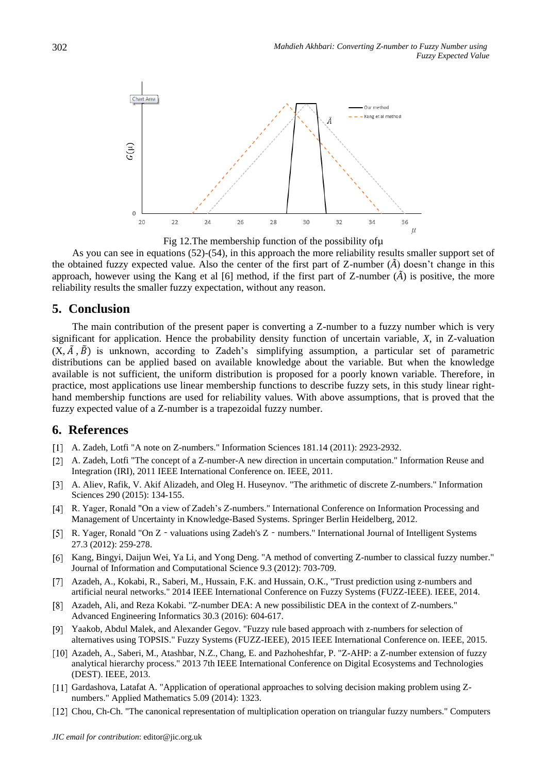

Fig 12.The membership function of the possibility ofµ

As you can see in equations (52)-(54), in this approach the more reliability results smaller support set of the obtained fuzzy expected value. Also the center of the first part of Z-number (*Ã*) doesn't change in this approach, however using the Kang et al [6] method, if the first part of Z-number  $(\tilde{A})$  is positive, the more reliability results the smaller fuzzy expectation, without any reason.

## **5. Conclusion**

The main contribution of the present paper is converting a Z-number to a fuzzy number which is very significant for application. Hence the probability density function of uncertain variable, *X*, in Z-valuation  $(X, \tilde{A}, \tilde{B})$  is unknown, according to Zadeh's simplifying assumption, a particular set of parametric distributions can be applied based on available knowledge about the variable. But when the knowledge available is not sufficient, the uniform distribution is proposed for a poorly known variable. Therefore, in practice, most applications use linear membership functions to describe fuzzy sets, in this study linear righthand membership functions are used for reliability values. With above assumptions, that is proved that the fuzzy expected value of a Z-number is a trapezoidal fuzzy number.

# **6. References**

- A. Zadeh, Lotfi "A note on Z-numbers." Information Sciences 181.14 (2011): 2923-2932.
- A. Zadeh, Lotfi "The concept of a Z-number-A new direction in uncertain computation." Information Reuse and Integration (IRI), 2011 IEEE International Conference on. IEEE, 2011.
- A. Aliev, Rafik, V. Akif Alizadeh, and Oleg H. Huseynov. "The arithmetic of discrete Z-numbers." Information Sciences 290 (2015): 134-155.
- R. Yager, Ronald "On a view of Zadeh's Z-numbers." International Conference on Information Processing and Management of Uncertainty in Knowledge-Based Systems. Springer Berlin Heidelberg, 2012.
- [5] R. Yager, Ronald "On Z valuations using Zadeh's Z numbers." International Journal of Intelligent Systems 27.3 (2012): 259-278.
- [6] Kang, Bingyi, Daijun Wei, Ya Li, and Yong Deng. "A method of converting Z-number to classical fuzzy number." Journal of Information and Computational Science 9.3 (2012): 703-709.
- [7] Azadeh, A., Kokabi, R., Saberi, M., Hussain, F.K. and Hussain, O.K., "Trust prediction using z-numbers and artificial neural networks." 2014 IEEE International Conference on Fuzzy Systems (FUZZ-IEEE). IEEE, 2014.
- Azadeh, Ali, and Reza Kokabi. "Z-number DEA: A new possibilistic DEA in the context of Z-numbers." Advanced Engineering Informatics 30.3 (2016): 604-617.
- Yaakob, Abdul Malek, and Alexander Gegov. "Fuzzy rule based approach with z-numbers for selection of alternatives using TOPSIS." Fuzzy Systems (FUZZ-IEEE), 2015 IEEE International Conference on. IEEE, 2015.
- [10] Azadeh, A., Saberi, M., Atashbar, N.Z., Chang, E. and Pazhoheshfar, P. "Z-AHP: a Z-number extension of fuzzy analytical hierarchy process." 2013 7th IEEE International Conference on Digital Ecosystems and Technologies (DEST). IEEE, 2013.
- [11] Gardashova, Latafat A. "Application of operational approaches to solving decision making problem using Znumbers." Applied Mathematics 5.09 (2014): 1323.
- [12] Chou, Ch-Ch. "The canonical representation of multiplication operation on triangular fuzzy numbers." Computers